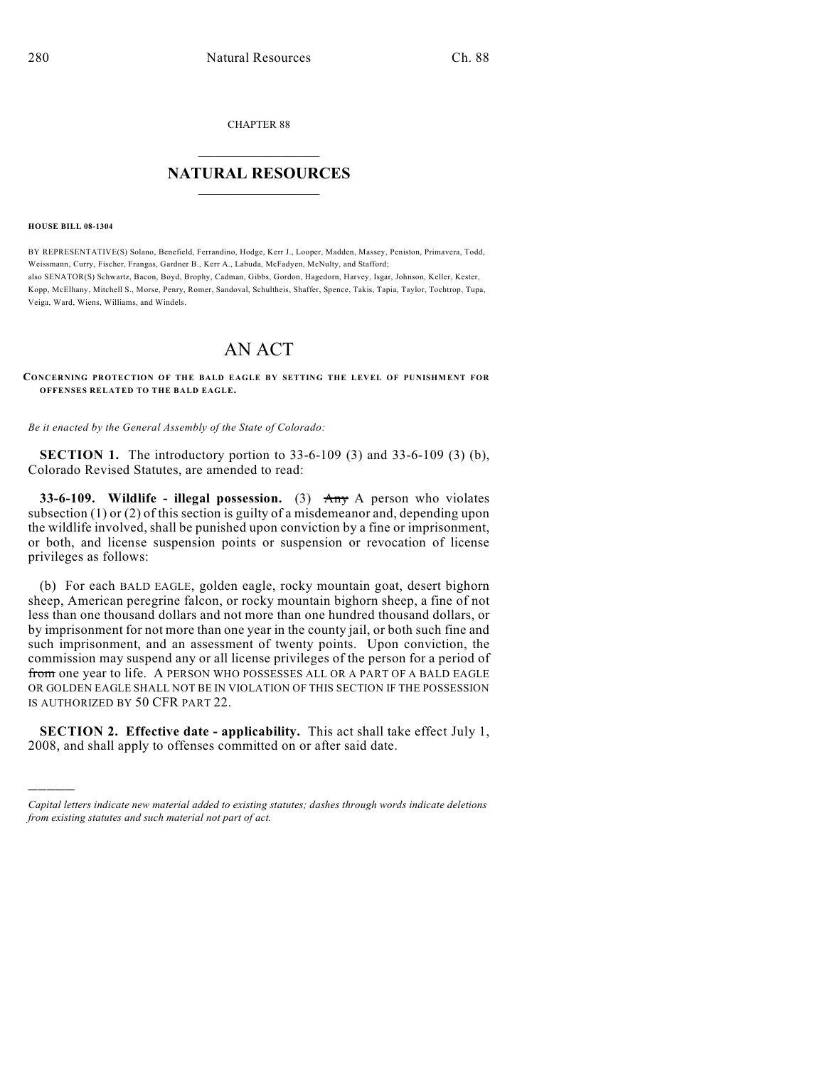CHAPTER 88

## $\overline{\phantom{a}}$  . The set of the set of the set of the set of the set of the set of the set of the set of the set of the set of the set of the set of the set of the set of the set of the set of the set of the set of the set o **NATURAL RESOURCES**  $\frac{1}{\sqrt{2}}$  , where  $\frac{1}{\sqrt{2}}$  ,  $\frac{1}{\sqrt{2}}$  ,  $\frac{1}{\sqrt{2}}$

## **HOUSE BILL 08-1304**

)))))

BY REPRESENTATIVE(S) Solano, Benefield, Ferrandino, Hodge, Kerr J., Looper, Madden, Massey, Peniston, Primavera, Todd, Weissmann, Curry, Fischer, Frangas, Gardner B., Kerr A., Labuda, McFadyen, McNulty, and Stafford; also SENATOR(S) Schwartz, Bacon, Boyd, Brophy, Cadman, Gibbs, Gordon, Hagedorn, Harvey, Isgar, Johnson, Keller, Kester, Kopp, McElhany, Mitchell S., Morse, Penry, Romer, Sandoval, Schultheis, Shaffer, Spence, Takis, Tapia, Taylor, Tochtrop, Tupa, Veiga, Ward, Wiens, Williams, and Windels.

## AN ACT

**CONCERNING PROTECTION OF THE BALD EAGLE BY SETTING THE LEVEL OF PUNISHMENT FOR OFFENSES RELATED TO THE BALD EAGLE.**

*Be it enacted by the General Assembly of the State of Colorado:*

**SECTION 1.** The introductory portion to 33-6-109 (3) and 33-6-109 (3) (b), Colorado Revised Statutes, are amended to read:

**33-6-109. Wildlife - illegal possession.** (3) Any A person who violates subsection (1) or (2) of this section is guilty of a misdemeanor and, depending upon the wildlife involved, shall be punished upon conviction by a fine or imprisonment, or both, and license suspension points or suspension or revocation of license privileges as follows:

(b) For each BALD EAGLE, golden eagle, rocky mountain goat, desert bighorn sheep, American peregrine falcon, or rocky mountain bighorn sheep, a fine of not less than one thousand dollars and not more than one hundred thousand dollars, or by imprisonment for not more than one year in the county jail, or both such fine and such imprisonment, and an assessment of twenty points. Upon conviction, the commission may suspend any or all license privileges of the person for a period of from one year to life. A PERSON WHO POSSESSES ALL OR A PART OF A BALD EAGLE OR GOLDEN EAGLE SHALL NOT BE IN VIOLATION OF THIS SECTION IF THE POSSESSION IS AUTHORIZED BY 50 CFR PART 22.

**SECTION 2. Effective date - applicability.** This act shall take effect July 1, 2008, and shall apply to offenses committed on or after said date.

*Capital letters indicate new material added to existing statutes; dashes through words indicate deletions from existing statutes and such material not part of act.*